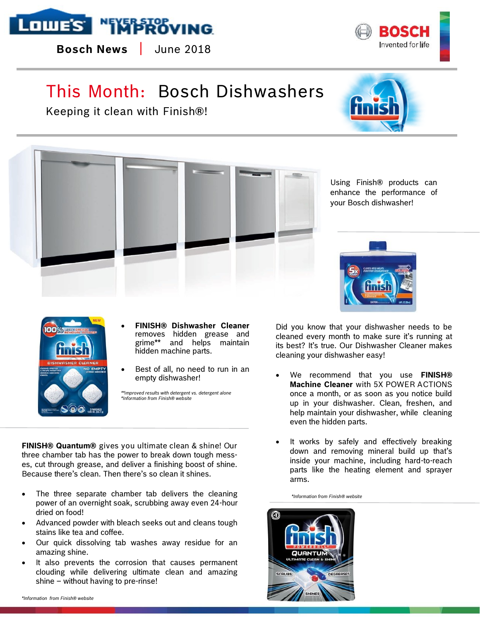

**Bosch News** | June 2018

## This Month: Bosch Dishwashers

Keeping it clean with Finish®!



BOSCH Invented for life

Using Finish® products can enhance the performance of your Bosch dishwasher!



- **FINISH® Dishwasher Cleaner**  removes hidden grease and grime\*\* and helps maintain hidden machine parts.
- Best of all, no need to run in an empty dishwasher!

*\*\*improved results with detergent vs. detergent alone \*Information from Finish® website*

**FINISH® Quantum®** gives you ultimate clean & shine! Our three chamber tab has the power to break down tough messes, cut through grease, and deliver a finishing boost of shine. Because there's clean. Then there's so clean it shines.

- The three separate chamber tab delivers the cleaning power of an overnight soak, scrubbing away even 24-hour dried on food!
- Advanced powder with bleach seeks out and cleans tough stains like tea and coffee.
- Our quick dissolving tab washes away residue for an amazing shine.
- It also prevents the corrosion that causes permanent clouding while delivering ultimate clean and amazing shine – without having to pre-rinse!

Did you know that your dishwasher needs to be cleaned every month to make sure it's running at its best? It's true. Our Dishwasher Cleaner makes cleaning your dishwasher easy!

- We recommend that you use **FINISH® Machine Cleaner** with 5X POWER ACTIONS once a month, or as soon as you notice build up in your dishwasher. Clean, freshen, and help maintain your dishwasher, while cleaning even the hidden parts.
- It works by safely and effectively breaking down and removing mineral build up that's inside your machine, including hard-to-reach parts like the heating element and sprayer arms.

 *\*Information from Finish® website*